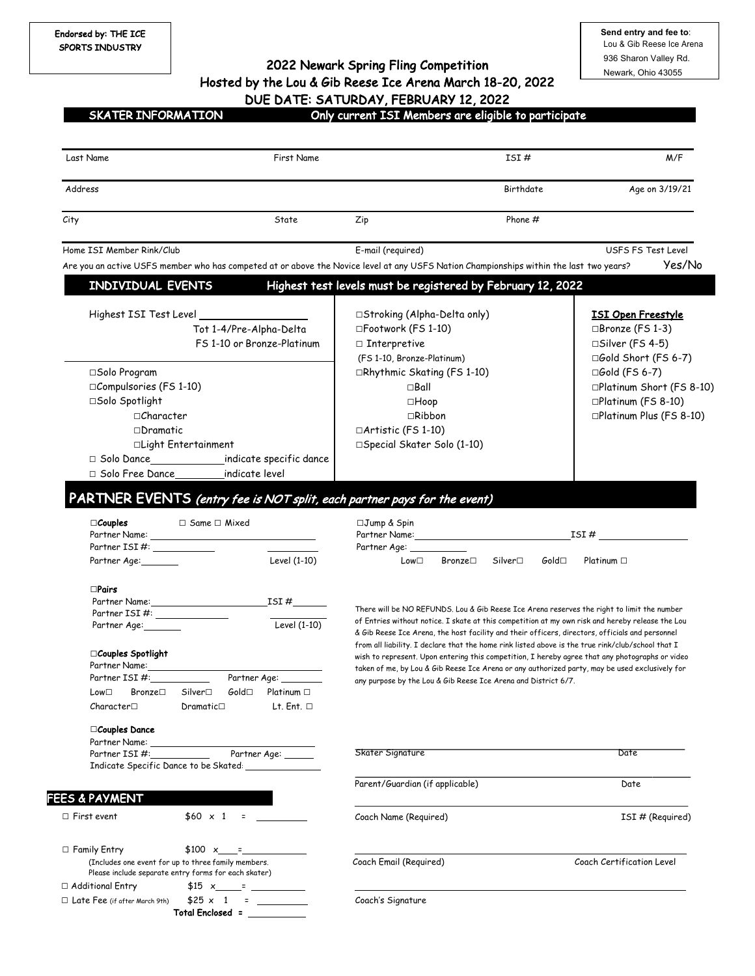**Send entry and fee to**: Lou & Gib Reese Ice Arena 936 Sharon Valley Rd. Newark, Ohio 43055

2022 Newark Spring Fling Competition Hosted by the Lou & Gib Reese Ice Arena March 18-20, 2022 DUE DATE: SATURDAY, FEBRUARY 12, 2022

SKATER INFORMATION Only current ISI Members are eligible to participate

| Last Name                                                                                                                               | First Name                 |                                                                                                                                                                                                                               | ISI#                      | M/F                            |
|-----------------------------------------------------------------------------------------------------------------------------------------|----------------------------|-------------------------------------------------------------------------------------------------------------------------------------------------------------------------------------------------------------------------------|---------------------------|--------------------------------|
| Address                                                                                                                                 |                            |                                                                                                                                                                                                                               | Birthdate                 | Age on 3/19/21                 |
| City                                                                                                                                    | State                      | Zip                                                                                                                                                                                                                           | Phone $#$                 |                                |
| Home ISI Member Rink/Club                                                                                                               |                            | E-mail (required)                                                                                                                                                                                                             |                           | USFS FS Test Level             |
| Are you an active USFS member who has competed at or above the Novice level at any USFS Nation Championships within the last two years? |                            |                                                                                                                                                                                                                               |                           | Yes/No                         |
| INDIVIDUAL EVENTS                                                                                                                       |                            | Highest test levels must be registered by February 12, 2022                                                                                                                                                                   |                           |                                |
|                                                                                                                                         |                            | □Stroking (Alpha-Delta only)                                                                                                                                                                                                  |                           | <b>ISI Open Freestyle</b>      |
| Tot 1-4/Pre-Alpha-Delta                                                                                                                 |                            | □Footwork (FS 1-10)                                                                                                                                                                                                           |                           | □Bronze (FS 1-3)               |
|                                                                                                                                         | FS 1-10 or Bronze-Platinum | $\Box$ Interpretive                                                                                                                                                                                                           |                           | □Silver (FS 4-5)               |
|                                                                                                                                         |                            | (FS 1-10, Bronze-Platinum)                                                                                                                                                                                                    |                           | □Gold Short (FS 6-7)           |
| □Solo Program                                                                                                                           |                            | □Rhythmic Skating (FS 1-10)                                                                                                                                                                                                   |                           | □Gold (FS 6-7)                 |
| □Compulsories (FS 1-10)                                                                                                                 |                            | $\square$ Ball                                                                                                                                                                                                                |                           | □Platinum Short (FS 8-10)      |
| □Solo Spotlight                                                                                                                         |                            | □Hoop                                                                                                                                                                                                                         |                           | □Platinum (FS 8-10)            |
| $\Box$ Character                                                                                                                        |                            | $\sqcap$ Ribbon                                                                                                                                                                                                               |                           | $\Box$ Platinum Plus (FS 8-10) |
| $\Box$ Dramatic                                                                                                                         |                            | □Artistic (FS 1-10)                                                                                                                                                                                                           |                           |                                |
| □Light Entertainment                                                                                                                    |                            | □Special Skater Solo (1-10)                                                                                                                                                                                                   |                           |                                |
|                                                                                                                                         |                            |                                                                                                                                                                                                                               |                           |                                |
| indicate level<br>$\Box$ Solo Free Dance                                                                                                |                            |                                                                                                                                                                                                                               |                           |                                |
|                                                                                                                                         |                            |                                                                                                                                                                                                                               |                           |                                |
| PARTNER EVENTS (entry fee is NOT split, each partner pays for the event)                                                                |                            |                                                                                                                                                                                                                               |                           |                                |
| $\Box$ Couples<br>$\Box$ Same $\Box$ Mixed                                                                                              |                            | □Jump & Spin                                                                                                                                                                                                                  |                           |                                |
|                                                                                                                                         |                            | Partner Name: The contract of the contract of the contract of the contract of the contract of the contract of the contract of the contract of the contract of the contract of the contract of the contract of the contract of |                           | $ISI \#$                       |
|                                                                                                                                         |                            | Partner Age: ___                                                                                                                                                                                                              |                           |                                |
| Partner Age: 1998                                                                                                                       | Level (1-10)               | $Bronze\square$<br>$Low\square$                                                                                                                                                                                               | Silver□<br>$G$ old $\Box$ | Platinum $\Box$                |
| $\Box$ Pairs                                                                                                                            |                            |                                                                                                                                                                                                                               |                           |                                |
| Partner Name: Name and the state of the state of the state of the state of the state of the state of the state o                        | ISI $#$                    |                                                                                                                                                                                                                               |                           |                                |
| Partner ISI #: _______________                                                                                                          | Level $(1-10)$             | There will be NO REFUNDS. Lou & Gib Reese Ice Arena reserves the right to limit the number<br>of Entries without notice. I skate at this competition at my own risk and hereby release the Lou                                |                           |                                |
| Partner Age:                                                                                                                            |                            | & Gib Reese Ice Arena, the host facility and their officers, directors, officials and personnel                                                                                                                               |                           |                                |
|                                                                                                                                         |                            | from all liability. I declare that the home rink listed above is the true rink/club/school that I                                                                                                                             |                           |                                |
| $\Box$ Couples Spotlight<br>Partner Name: 1988                                                                                          |                            | wish to represent. Upon entering this competition, I hereby agree that any photographs or video                                                                                                                               |                           |                                |
| Partner $ISI \#$ :                                                                                                                      | Partner Age: _______       | taken of me, by Lou & Gib Reese Ice Arena or any authorized party, may be used exclusively for<br>any purpose by the Lou & Gib Reese Ice Arena and District 6/7.                                                              |                           |                                |
| Low <sup>1</sup> Bronze <sup>1</sup> Silver <sup>1</sup> Gold <sup>1</sup> Platinum <sup>1</sup>                                        |                            |                                                                                                                                                                                                                               |                           |                                |
| Character $\Box$<br>Dramatic                                                                                                            | $Lt.$ Ent. $\Box$          |                                                                                                                                                                                                                               |                           |                                |
|                                                                                                                                         |                            |                                                                                                                                                                                                                               |                           |                                |
| □Couples Dance<br>Partner Name:                                                                                                         |                            |                                                                                                                                                                                                                               |                           |                                |
| Partner ISI#:                                                                                                                           | Partner Age: _____         | Skater Signature                                                                                                                                                                                                              |                           | Date                           |
| Indicate Specific Dance to be Skated:                                                                                                   |                            |                                                                                                                                                                                                                               |                           |                                |
|                                                                                                                                         |                            | Parent/Guardian (if applicable)                                                                                                                                                                                               |                           | Date                           |
| <b>FEES &amp; PAYMENT</b>                                                                                                               |                            |                                                                                                                                                                                                                               |                           |                                |
| $$60 \times 1 =$<br>$\Box$ First event                                                                                                  |                            | Coach Name (Required)                                                                                                                                                                                                         |                           | ISI# (Required)                |
| □ Family Entry<br>$$100 \times - =$                                                                                                     |                            |                                                                                                                                                                                                                               |                           |                                |
| (Includes one event for up to three family members.                                                                                     |                            | Coach Email (Required)                                                                                                                                                                                                        |                           | Coach Certification Level      |
| Please include separate entry forms for each skater)                                                                                    |                            |                                                                                                                                                                                                                               |                           |                                |
|                                                                                                                                         |                            |                                                                                                                                                                                                                               |                           |                                |
| $\Box$ Additional Entry<br>$$15 x$ $x$ $x$<br>$$25 \times 1 = \_$                                                                       |                            | Coach's Signature                                                                                                                                                                                                             |                           |                                |